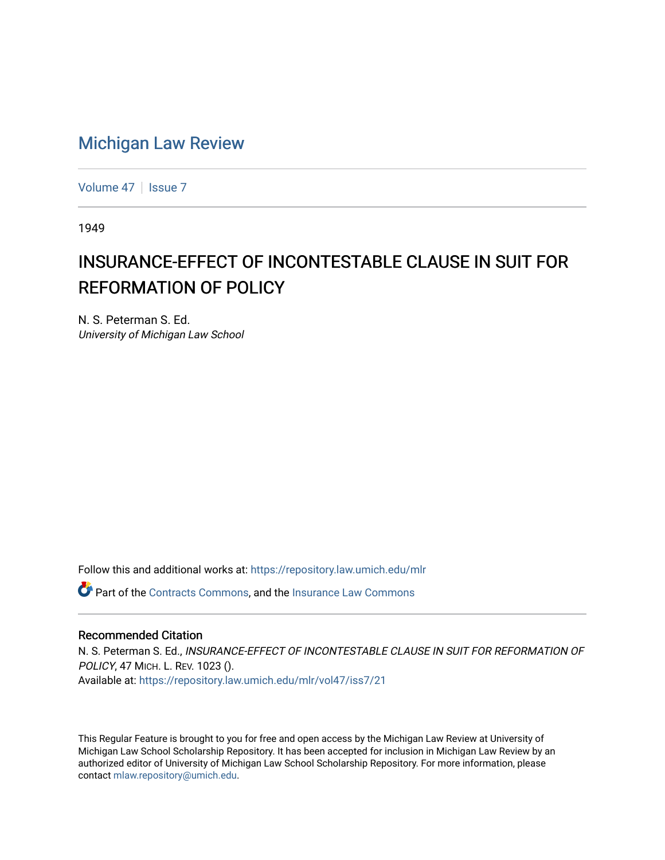## [Michigan Law Review](https://repository.law.umich.edu/mlr)

[Volume 47](https://repository.law.umich.edu/mlr/vol47) | [Issue 7](https://repository.law.umich.edu/mlr/vol47/iss7)

1949

## INSURANCE-EFFECT OF INCONTESTABLE CLAUSE IN SUIT FOR REFORMATION OF POLICY

N. S. Peterman S. Ed. University of Michigan Law School

Follow this and additional works at: [https://repository.law.umich.edu/mlr](https://repository.law.umich.edu/mlr?utm_source=repository.law.umich.edu%2Fmlr%2Fvol47%2Fiss7%2F21&utm_medium=PDF&utm_campaign=PDFCoverPages) 

Part of the [Contracts Commons](http://network.bepress.com/hgg/discipline/591?utm_source=repository.law.umich.edu%2Fmlr%2Fvol47%2Fiss7%2F21&utm_medium=PDF&utm_campaign=PDFCoverPages), and the [Insurance Law Commons](http://network.bepress.com/hgg/discipline/607?utm_source=repository.law.umich.edu%2Fmlr%2Fvol47%2Fiss7%2F21&utm_medium=PDF&utm_campaign=PDFCoverPages)

## Recommended Citation

N. S. Peterman S. Ed., INSURANCE-EFFECT OF INCONTESTABLE CLAUSE IN SUIT FOR REFORMATION OF POLICY, 47 MICH. L. REV. 1023 (). Available at: [https://repository.law.umich.edu/mlr/vol47/iss7/21](https://repository.law.umich.edu/mlr/vol47/iss7/21?utm_source=repository.law.umich.edu%2Fmlr%2Fvol47%2Fiss7%2F21&utm_medium=PDF&utm_campaign=PDFCoverPages) 

This Regular Feature is brought to you for free and open access by the Michigan Law Review at University of Michigan Law School Scholarship Repository. It has been accepted for inclusion in Michigan Law Review by an authorized editor of University of Michigan Law School Scholarship Repository. For more information, please contact [mlaw.repository@umich.edu](mailto:mlaw.repository@umich.edu).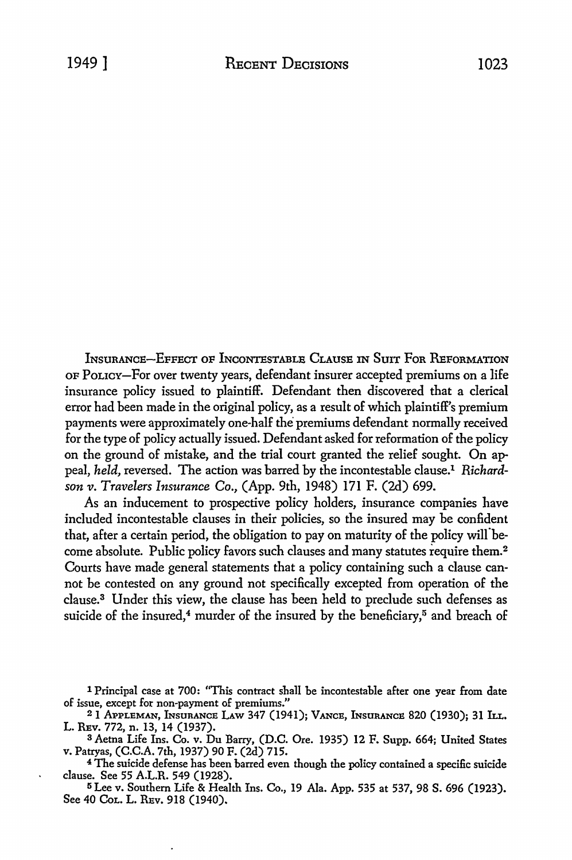INSURANCE-EFFECT OF INCONTESTABLE CLAUSE IN SUIT FOR REFORMATION OF PoLICY-For over twenty years, defendant insurer accepted premiums on a life insurance policy issued to plaintiff. Defendant then discovered that a clerical error had been made in the original policy, as a result of which plaintiff's premium payments were approximately one-half the premiums defendant normally received for the type of policy actually issued. Defendant asked for reformation of the policy on the ground of mistake, and the trial court granted the relief sought. On appeal, *held,* reversed. The action was barred by the incontestable clause.1 *Richardson v. Travelers Insurance Co.,* (App. 9th, 1948) 171 F. (2d) 699.

As an inducement to prospective policy holders, insurance companies have included incontestable clauses in their policies, so the insured may be confident that, after a certain period, the obligation to pay on maturity of the policy will become absolute. Public policy favors such clauses and many statutes require them.<sup>2</sup> Courts have made general statements that a policy containing such a clause cannot be contested on any ground not specifically excepted from operation of the clause.3 Under this view, the clause has been held to preclude such defenses as suicide of the insured,<sup>4</sup> murder of the insured by the beneficiary,<sup>5</sup> and breach of

<sup>3</sup>Aetna Life Ins. Co. v. Du Barry, (D.C. Ore. 1935) 12 F. Supp. 664; United States v. Patryas, (C.C.A. 7th, 1937) 90 F. (2d) 715.

<sup>4</sup> The suicide defense has been barred even though the policy contained a specific suicide clause. See 55 A.L.R. 549 (1928).

<sup>5</sup>Lee v. Southern Life & Health Ins. Co., 19 Ala. App. 535 at 537, 98 S. 696 (1923). See 40 CoL. L. REv. 918 (1940).

<sup>1</sup> Principal case at 700: ''This contract shall be incontestable after one year from date of issue, except for non-payment of premiums."

<sup>2</sup> 1 APPLEMAN, INsunANCE LAw 347 (1941); VANCE, INsuRANcE 820 (1930); 31 h.r.. L. REv. 772, n. 13, 14 (1937).